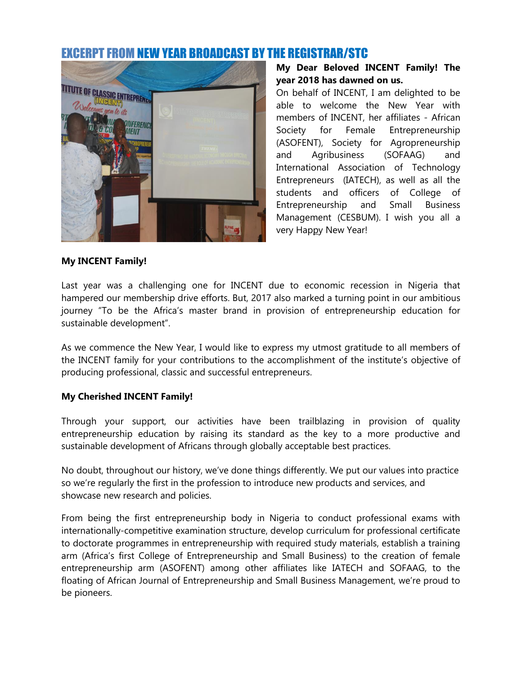# EXCERPT FROM NEW YEAR BROADCAST BY THE REGISTRAR/STC



**My Dear Beloved INCENT Family! The year 2018 has dawned on us.**

On behalf of INCENT, I am delighted to be able to welcome the New Year with members of INCENT, her affiliates - African Society for Female Entrepreneurship (ASOFENT), Society for Agropreneurship and Agribusiness (SOFAAG) and International Association of Technology Entrepreneurs (IATECH), as well as all the students and officers of College of Entrepreneurship and Small Business Management (CESBUM). I wish you all a very Happy New Year!

#### **My INCENT Family!**

Last year was a challenging one for INCENT due to economic recession in Nigeria that hampered our membership drive efforts. But, 2017 also marked a turning point in our ambitious journey "To be the Africa's master brand in provision of entrepreneurship education for sustainable development".

As we commence the New Year, I would like to express my utmost gratitude to all members of the INCENT family for your contributions to the accomplishment of the institute's objective of producing professional, classic and successful entrepreneurs.

#### **My Cherished INCENT Family!**

Through your support, our activities have been trailblazing in provision of quality entrepreneurship education by raising its standard as the key to a more productive and sustainable development of Africans through globally acceptable best practices.

No doubt, throughout our history, we've done things differently. We put our values into practice so we're regularly the first in the profession to introduce new products and services, and showcase new research and policies.

From being the first entrepreneurship body in Nigeria to conduct professional exams with internationally-competitive examination structure, develop curriculum for professional certificate to doctorate programmes in entrepreneurship with required study materials, establish a training arm (Africa's first College of Entrepreneurship and Small Business) to the creation of female entrepreneurship arm (ASOFENT) among other affiliates like IATECH and SOFAAG, to the floating of African Journal of Entrepreneurship and Small Business Management, we're proud to be pioneers.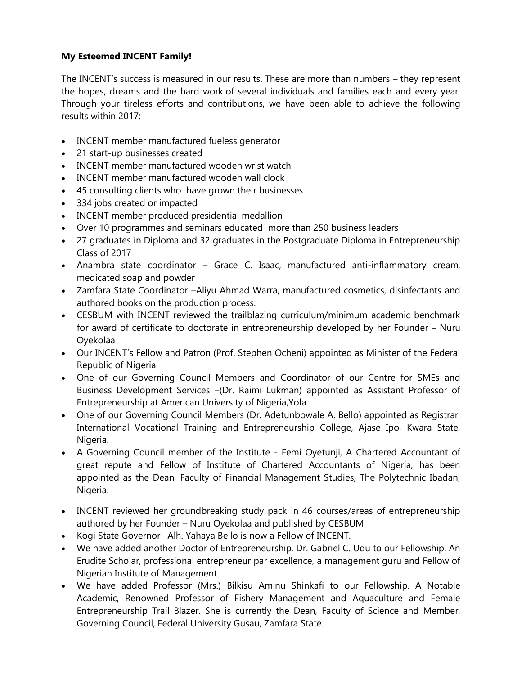# **My Esteemed INCENT Family!**

The INCENT's success is measured in our results. These are more than numbers – they represent the hopes, dreams and the hard work of several individuals and families each and every year. Through your tireless efforts and contributions, we have been able to achieve the following results within 2017:

- INCENT member manufactured fueless generator
- 21 start-up businesses created
- INCENT member manufactured wooden wrist watch
- INCENT member manufactured wooden wall clock
- 45 consulting clients who have grown their businesses
- 334 jobs created or impacted
- INCENT member produced presidential medallion
- Over 10 programmes and seminars educated more than 250 business leaders
- 27 graduates in Diploma and 32 graduates in the Postgraduate Diploma in Entrepreneurship Class of 2017
- Anambra state coordinator Grace C. Isaac, manufactured anti-inflammatory cream, medicated soap and powder
- Zamfara State Coordinator –Aliyu Ahmad Warra, manufactured cosmetics, disinfectants and authored books on the production process.
- CESBUM with INCENT reviewed the trailblazing curriculum/minimum academic benchmark for award of certificate to doctorate in entrepreneurship developed by her Founder – Nuru Oyekolaa
- Our INCENT's Fellow and Patron (Prof. Stephen Ocheni) appointed as Minister of the Federal Republic of Nigeria
- One of our Governing Council Members and Coordinator of our Centre for SMEs and Business Development Services –(Dr. Raimi Lukman) appointed as Assistant Professor of Entrepreneurship at American University of Nigeria,Yola
- One of our Governing Council Members (Dr. Adetunbowale A. Bello) appointed as Registrar, International Vocational Training and Entrepreneurship College, Ajase Ipo, Kwara State, Nigeria.
- A Governing Council member of the Institute Femi Oyetunji, A Chartered Accountant of great repute and Fellow of Institute of Chartered Accountants of Nigeria, has been appointed as the Dean, Faculty of Financial Management Studies, The Polytechnic Ibadan, Nigeria.
- INCENT reviewed her groundbreaking study pack in 46 courses/areas of entrepreneurship authored by her Founder – Nuru Oyekolaa and published by CESBUM
- Kogi State Governor –Alh. Yahaya Bello is now a Fellow of INCENT.
- We have added another Doctor of Entrepreneurship, Dr. Gabriel C. Udu to our Fellowship. An Erudite Scholar, professional entrepreneur par excellence, a management guru and Fellow of Nigerian Institute of Management.
- We have added Professor (Mrs.) Bilkisu Aminu Shinkafi to our Fellowship. A Notable Academic, Renowned Professor of Fishery Management and Aquaculture and Female Entrepreneurship Trail Blazer. She is currently the Dean, Faculty of Science and Member, Governing Council, Federal University Gusau, Zamfara State.